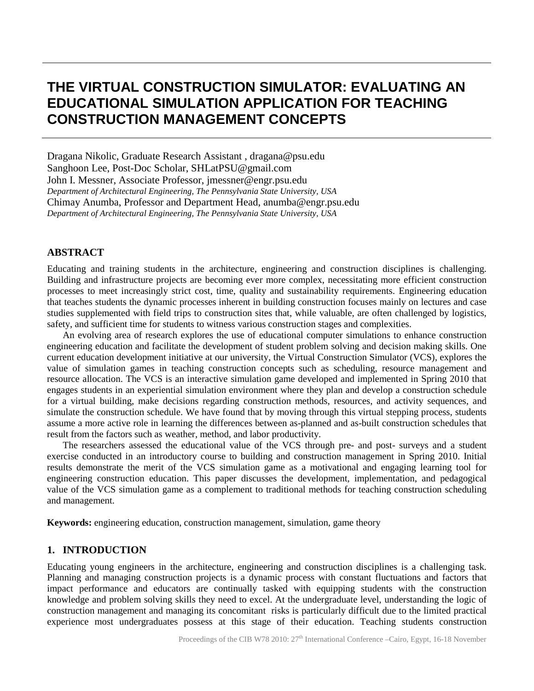# **THE VIRTUAL CONSTRUCTION SIMULATOR: EVALUATING AN EDUCATIONAL SIMULATION APPLICATION FOR TEACHING CONSTRUCTION MANAGEMENT CONCEPTS**

Dragana Nikolic, Graduate Research Assistant , dragana@psu.edu Sanghoon Lee, Post-Doc Scholar, SHLatPSU@gmail.com John I. Messner, Associate Professor, jmessner@engr.psu.edu *Department of Architectural Engineering, The Pennsylvania State University, USA* Chimay Anumba, Professor and Department Head, anumba@engr.psu.edu *Department of Architectural Engineering, The Pennsylvania State University, USA*

# **ABSTRACT**

Educating and training students in the architecture, engineering and construction disciplines is challenging. Building and infrastructure projects are becoming ever more complex, necessitating more efficient construction processes to meet increasingly strict cost, time, quality and sustainability requirements. Engineering education that teaches students the dynamic processes inherent in building construction focuses mainly on lectures and case studies supplemented with field trips to construction sites that, while valuable, are often challenged by logistics, safety, and sufficient time for students to witness various construction stages and complexities.

An evolving area of research explores the use of educational computer simulations to enhance construction engineering education and facilitate the development of student problem solving and decision making skills. One current education development initiative at our university, the Virtual Construction Simulator (VCS), explores the value of simulation games in teaching construction concepts such as scheduling, resource management and resource allocation. The VCS is an interactive simulation game developed and implemented in Spring 2010 that engages students in an experiential simulation environment where they plan and develop a construction schedule for a virtual building, make decisions regarding construction methods, resources, and activity sequences, and simulate the construction schedule. We have found that by moving through this virtual stepping process, students assume a more active role in learning the differences between as-planned and as-built construction schedules that result from the factors such as weather, method, and labor productivity.

The researchers assessed the educational value of the VCS through pre- and post- surveys and a student exercise conducted in an introductory course to building and construction management in Spring 2010. Initial results demonstrate the merit of the VCS simulation game as a motivational and engaging learning tool for engineering construction education. This paper discusses the development, implementation, and pedagogical value of the VCS simulation game as a complement to traditional methods for teaching construction scheduling and management.

**Keywords:** engineering education, construction management, simulation, game theory

# **1. INTRODUCTION**

Educating young engineers in the architecture, engineering and construction disciplines is a challenging task. Planning and managing construction projects is a dynamic process with constant fluctuations and factors that impact performance and educators are continually tasked with equipping students with the construction knowledge and problem solving skills they need to excel. At the undergraduate level, understanding the logic of construction management and managing its concomitant risks is particularly difficult due to the limited practical experience most undergraduates possess at this stage of their education. Teaching students construction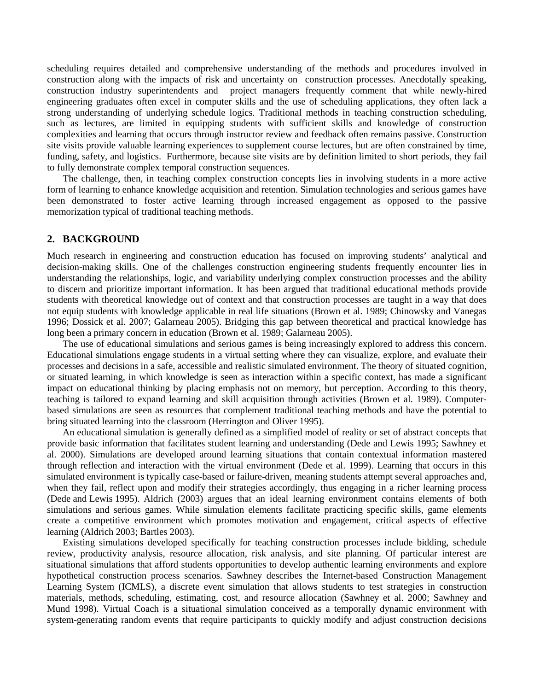scheduling requires detailed and comprehensive understanding of the methods and procedures involved in construction along with the impacts of risk and uncertainty on construction processes. Anecdotally speaking, construction industry superintendents and project managers frequently comment that while newly-hired engineering graduates often excel in computer skills and the use of scheduling applications, they often lack a strong understanding of underlying schedule logics. Traditional methods in teaching construction scheduling, such as lectures, are limited in equipping students with sufficient skills and knowledge of construction complexities and learning that occurs through instructor review and feedback often remains passive. Construction site visits provide valuable learning experiences to supplement course lectures, but are often constrained by time, funding, safety, and logistics. Furthermore, because site visits are by definition limited to short periods, they fail to fully demonstrate complex temporal construction sequences.

The challenge, then, in teaching complex construction concepts lies in involving students in a more active form of learning to enhance knowledge acquisition and retention. Simulation technologies and serious games have been demonstrated to foster active learning through increased engagement as opposed to the passive memorization typical of traditional teaching methods.

# **2. BACKGROUND**

Much research in engineering and construction education has focused on improving students' analytical and decision-making skills. One of the challenges construction engineering students frequently encounter lies in understanding the relationships, logic, and variability underlying complex construction processes and the ability to discern and prioritize important information. It has been argued that traditional educational methods provide students with theoretical knowledge out of context and that construction processes are taught in a way that does not equip students with knowledge applicable in real life situations (Brown et al. 1989; Chinowsky and Vanegas 1996; Dossick et al. 2007; Galarneau 2005). Bridging this gap between theoretical and practical knowledge has long been a primary concern in education (Brown et al. 1989; Galarneau 2005).

The use of educational simulations and serious games is being increasingly explored to address this concern. Educational simulations engage students in a virtual setting where they can visualize, explore, and evaluate their processes and decisions in a safe, accessible and realistic simulated environment. The theory of situated cognition, or situated learning, in which knowledge is seen as interaction within a specific context, has made a significant impact on educational thinking by placing emphasis not on memory, but perception. According to this theory, teaching is tailored to expand learning and skill acquisition through activities (Brown et al. 1989). Computerbased simulations are seen as resources that complement traditional teaching methods and have the potential to bring situated learning into the classroom (Herrington and Oliver 1995).

An educational simulation is generally defined as a simplified model of reality or set of abstract concepts that provide basic information that facilitates student learning and understanding (Dede and Lewis 1995; Sawhney et al. 2000). Simulations are developed around learning situations that contain contextual information mastered through reflection and interaction with the virtual environment (Dede et al. 1999). Learning that occurs in this simulated environment is typically case-based or failure-driven, meaning students attempt several approaches and, when they fail, reflect upon and modify their strategies accordingly, thus engaging in a richer learning process (Dede and Lewis 1995). Aldrich (2003) argues that an ideal learning environment contains elements of both simulations and serious games. While simulation elements facilitate practicing specific skills, game elements create a competitive environment which promotes motivation and engagement, critical aspects of effective learning (Aldrich 2003; Bartles 2003).

Existing simulations developed specifically for teaching construction processes include bidding, schedule review, productivity analysis, resource allocation, risk analysis, and site planning. Of particular interest are situational simulations that afford students opportunities to develop authentic learning environments and explore hypothetical construction process scenarios. Sawhney describes the Internet-based Construction Management Learning System (ICMLS), a discrete event simulation that allows students to test strategies in construction materials, methods, scheduling, estimating, cost, and resource allocation (Sawhney et al. 2000; Sawhney and Mund 1998). Virtual Coach is a situational simulation conceived as a temporally dynamic environment with system-generating random events that require participants to quickly modify and adjust construction decisions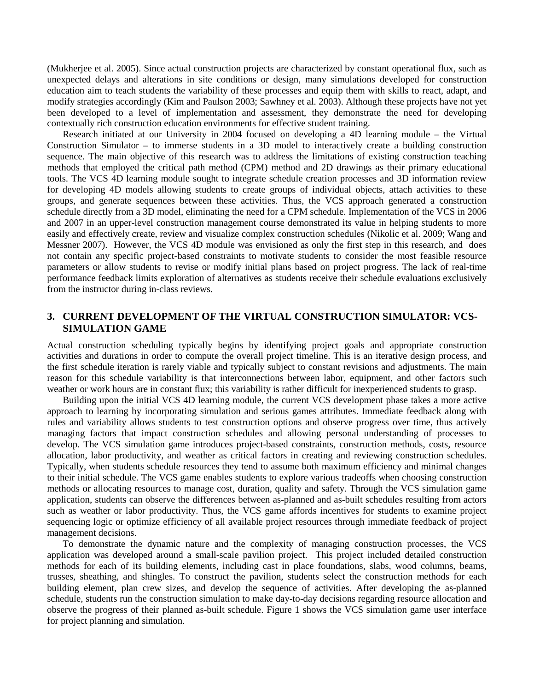(Mukherjee et al. 2005). Since actual construction projects are characterized by constant operational flux, such as unexpected delays and alterations in site conditions or design, many simulations developed for construction education aim to teach students the variability of these processes and equip them with skills to react, adapt, and modify strategies accordingly (Kim and Paulson 2003; Sawhney et al. 2003). Although these projects have not yet been developed to a level of implementation and assessment, they demonstrate the need for developing contextually rich construction education environments for effective student training.

Research initiated at our University in 2004 focused on developing a 4D learning module – the Virtual Construction Simulator – to immerse students in a 3D model to interactively create a building construction sequence. The main objective of this research was to address the limitations of existing construction teaching methods that employed the critical path method (CPM) method and 2D drawings as their primary educational tools. The VCS 4D learning module sought to integrate schedule creation processes and 3D information review for developing 4D models allowing students to create groups of individual objects, attach activities to these groups, and generate sequences between these activities. Thus, the VCS approach generated a construction schedule directly from a 3D model, eliminating the need for a CPM schedule. Implementation of the VCS in 2006 and 2007 in an upper-level construction management course demonstrated its value in helping students to more easily and effectively create, review and visualize complex construction schedules (Nikolic et al. 2009; Wang and Messner 2007). However, the VCS 4D module was envisioned as only the first step in this research, and does not contain any specific project-based constraints to motivate students to consider the most feasible resource parameters or allow students to revise or modify initial plans based on project progress. The lack of real-time performance feedback limits exploration of alternatives as students receive their schedule evaluations exclusively from the instructor during in-class reviews.

# **3. CURRENT DEVELOPMENT OF THE VIRTUAL CONSTRUCTION SIMULATOR: VCS-SIMULATION GAME**

Actual construction scheduling typically begins by identifying project goals and appropriate construction activities and durations in order to compute the overall project timeline. This is an iterative design process, and the first schedule iteration is rarely viable and typically subject to constant revisions and adjustments. The main reason for this schedule variability is that interconnections between labor, equipment, and other factors such weather or work hours are in constant flux; this variability is rather difficult for inexperienced students to grasp.

Building upon the initial VCS 4D learning module, the current VCS development phase takes a more active approach to learning by incorporating simulation and serious games attributes. Immediate feedback along with rules and variability allows students to test construction options and observe progress over time, thus actively managing factors that impact construction schedules and allowing personal understanding of processes to develop. The VCS simulation game introduces project-based constraints, construction methods, costs, resource allocation, labor productivity, and weather as critical factors in creating and reviewing construction schedules. Typically, when students schedule resources they tend to assume both maximum efficiency and minimal changes to their initial schedule. The VCS game enables students to explore various tradeoffs when choosing construction methods or allocating resources to manage cost, duration, quality and safety. Through the VCS simulation game application, students can observe the differences between as-planned and as-built schedules resulting from actors such as weather or labor productivity. Thus, the VCS game affords incentives for students to examine project sequencing logic or optimize efficiency of all available project resources through immediate feedback of project management decisions.

To demonstrate the dynamic nature and the complexity of managing construction processes, the VCS application was developed around a small-scale pavilion project. This project included detailed construction methods for each of its building elements, including cast in place foundations, slabs, wood columns, beams, trusses, sheathing, and shingles. To construct the pavilion, students select the construction methods for each building element, plan crew sizes, and develop the sequence of activities. After developing the as-planned schedule, students run the construction simulation to make day-to-day decisions regarding resource allocation and observe the progress of their planned as-built schedule. Figure 1 shows the VCS simulation game user interface for project planning and simulation.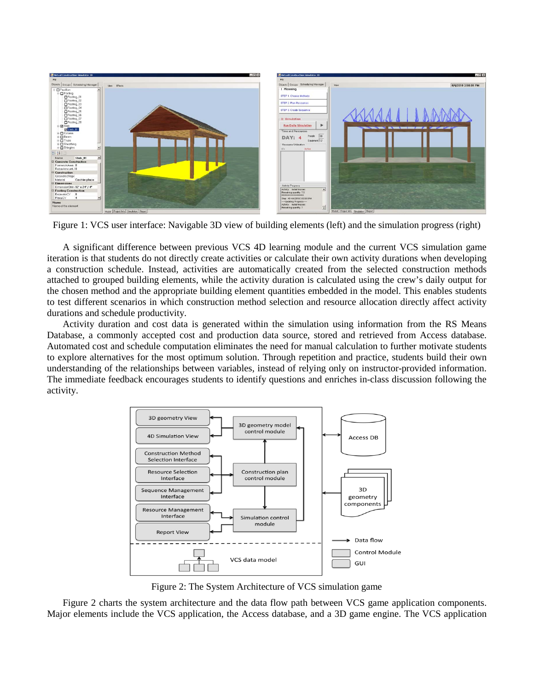

Figure 1: VCS user interface: Navigable 3D view of building elements (left) and the simulation progress (right)

A significant difference between previous VCS 4D learning module and the current VCS simulation game iteration is that students do not directly create activities or calculate their own activity durations when developing a construction schedule. Instead, activities are automatically created from the selected construction methods attached to grouped building elements, while the activity duration is calculated using the crew's daily output for the chosen method and the appropriate building element quantities embedded in the model. This enables students to test different scenarios in which construction method selection and resource allocation directly affect activity durations and schedule productivity.

Activity duration and cost data is generated within the simulation using information from the RS Means Database, a commonly accepted cost and production data source, stored and retrieved from Access database. Automated cost and schedule computation eliminates the need for manual calculation to further motivate students to explore alternatives for the most optimum solution. Through repetition and practice, students build their own understanding of the relationships between variables, instead of relying only on instructor-provided information. The immediate feedback encourages students to identify questions and enriches in-class discussion following the activity.



Figure 2: The System Architecture of VCS simulation game

Figure 2 charts the system architecture and the data flow path between VCS game application components. Major elements include the VCS application, the Access database, and a 3D game engine. The VCS application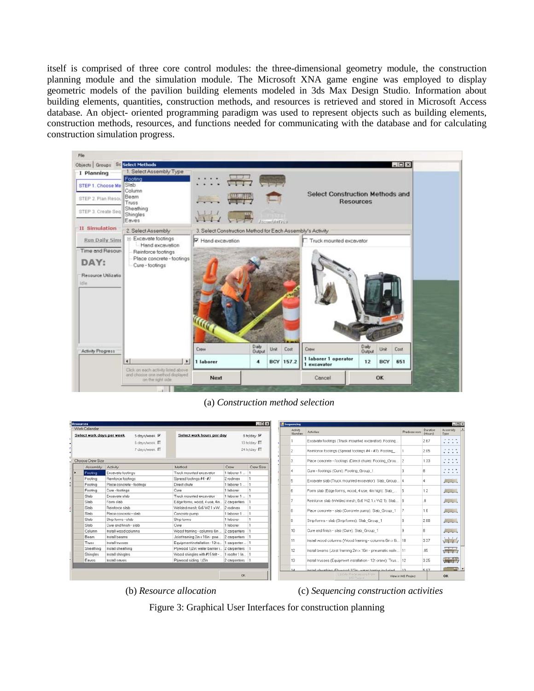itself is comprised of three core control modules: the three-dimensional geometry module, the construction planning module and the simulation module. The Microsoft XNA game engine was employed to display geometric models of the pavilion building elements modeled in 3ds Max Design Studio. Information about building elements, quantities, construction methods, and resources is retrieved and stored in Microsoft Access database. An object- oriented programming paradigm was used to represent objects such as building elements, construction methods, resources, and functions needed for communicating with the database and for calculating construction simulation progress.



(a) *Construction method selection*

| <b>Resources</b>                           |                           |                                 |                                         | $ \Box$ $\times$ |                                                | Sequencing         |                                                                 |              |          | $\Box$              |
|--------------------------------------------|---------------------------|---------------------------------|-----------------------------------------|------------------|------------------------------------------------|--------------------|-----------------------------------------------------------------|--------------|----------|---------------------|
| Work Calendar                              |                           |                                 |                                         |                  |                                                | Activity           | Activities                                                      | Predecessors | Duration | Assembly            |
| Select work days per week<br>5 days/week M |                           |                                 | Select work hours per day<br>8 hr/day M |                  |                                                | Number             |                                                                 |              | (Hours)  | Type<br>            |
|                                            | 6 days/week               |                                 |                                         | 10 hr/dev E      |                                                |                    | Excavate footings (Truck mounted excavator): Footing            |              | 2.67     | .                   |
|                                            | 7 days/week F             |                                 |                                         | 24 hr/day        |                                                | 2                  | Reinforce footings (Spread footings #4 - #7): Footing           |              | 2.05     | .<br>.              |
| Choose Crew Size                           |                           |                                 |                                         |                  |                                                |                    | Place concrete - footings (Direct chute): Footing Grou 2        |              | 1.33     | .<br>.              |
| Assembly                                   | Activity                  | Method                          | Crew                                    | Crew Size        |                                                |                    |                                                                 |              |          | .                   |
| Footing                                    | Excavate footings         | Truck mounted excevator         | 1 laborer 1.                            |                  |                                                |                    | Cure - footings (Cure): Footing Group 1                         |              |          | .                   |
| Footing                                    | Reinforce footings        | Spread footings #4-#7           | 2 rodman                                |                  |                                                | 5                  | Excavate slab (Truck mounted excavator): Slab Group 4           |              |          | <b>.</b>            |
| Footing                                    | Place concrete - footings | Direct chute                    | 1 laborer 1                             |                  |                                                |                    |                                                                 |              |          |                     |
| Footing                                    | Cure - footings           | Cure                            | 1 laborer                               |                  |                                                | 6                  | Form slab (Edge forms, wood, 4 use, 4in high): Slab             | - 5          | 1.2      | <b>All Services</b> |
| Slab                                       | Excavate slab             | Truck mounted excavator         | 1 laborer 1                             |                  |                                                |                    |                                                                 |              |          |                     |
| Slab                                       | Form slab                 | Edge forms, wood, 4 use, 4in.   | 2 carpenters                            |                  |                                                |                    | Reinforce slab (Welded mesh; 6x6 W2.1 x W2.1): Slab   6         |              | 8        | $\sim$              |
| Sieb                                       | Reinforce slab            | Welded mesh: 6x6 W2.1 x W.      | 2 rodman                                |                  |                                                | 8                  | Place concrete - slab (Concrete pump): Slab Group 1             |              | 1.6      |                     |
| Síab                                       | Place concrete - slab     | Concrete pump                   | 1 leborer 1                             |                  |                                                |                    |                                                                 |              |          | $\sim$              |
| Slab                                       | Strip forms - slab        | Strip forms                     | 1 leborer                               |                  |                                                | a                  | Strip forms - slab (Strip forms): Slab Group 1                  |              | 2.88     |                     |
| Slob                                       | Cure and finish - slab    | Cure                            | 1 laborer                               |                  |                                                |                    |                                                                 |              |          |                     |
| Column                                     | Install wood columns      | Wood framing - columns 6in      | 2 carpenters                            |                  |                                                | 10 <sup>1</sup>    | Cure and finish - slab (Cure): Slab Group 1                     |              |          | $\sim$              |
| Beam                                       | Install beams             | Joist framing 2in x 10in - pne. | 2 carpenters                            |                  |                                                | 11                 | Install wood columns (Wood framing - columns 6in x 6i 10        |              |          | $\sqrt{11}$         |
| Truss                                      | Install trusses           | Equipment installation - 12t c  | 1 carpenter.                            |                  |                                                |                    |                                                                 |              | 3.37     |                     |
| Sheathing                                  | Install sheathing         | Plywood 1/2in: water barrier i. | 2 carpenters                            |                  |                                                | 12                 | Install beams (Joist framing 2in x 10in - pneumatic naile   11  |              | 85       | 57                  |
| Shingles                                   | Install shingles          | Wood shingles with #15 felt-    | 1 roofer 1 lo.                          |                  |                                                |                    |                                                                 |              |          |                     |
| Eaves                                      | Install eaves             | Plywood siding, 1/2in           | 2 carpenters 1                          |                  |                                                | 13                 | Install trusses (Equipment installation - 12t crane): Trus   12 |              | 3.25     | $\frac{1}{2}$       |
|                                            |                           |                                 |                                         |                  |                                                | 1.4                | Install sheathing (Dissuped 1/2in: water harrier included       | 13           | 597      | <b>Line C</b>       |
| DK.                                        |                           |                                 |                                         |                  | Update Predecessors From<br><b>NGC Project</b> | View in MS Project |                                                                 | OK.          |          |                     |

(b) *Resource allocation* (c) *Sequencing construction activities*

Figure 3: Graphical User Interfaces for construction planning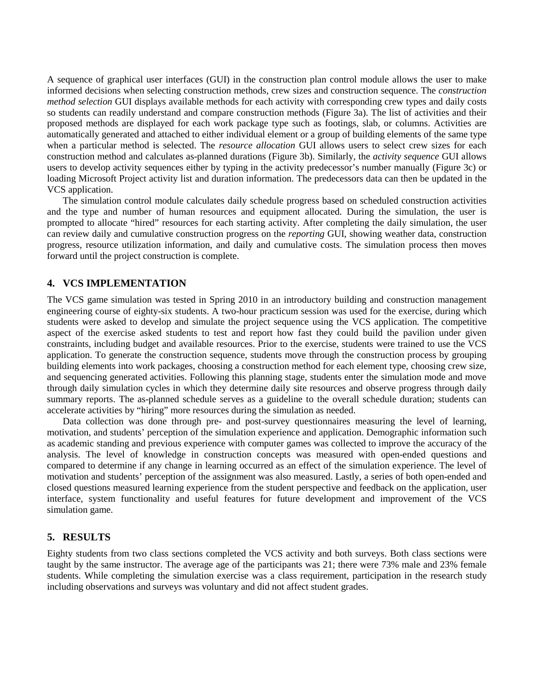A sequence of graphical user interfaces (GUI) in the construction plan control module allows the user to make informed decisions when selecting construction methods, crew sizes and construction sequence. The *construction method selection* GUI displays available methods for each activity with corresponding crew types and daily costs so students can readily understand and compare construction methods (Figure 3a). The list of activities and their proposed methods are displayed for each work package type such as footings, slab, or columns. Activities are automatically generated and attached to either individual element or a group of building elements of the same type when a particular method is selected. The *resource allocation* GUI allows users to select crew sizes for each construction method and calculates as-planned durations (Figure 3b). Similarly, the *activity sequence* GUI allows users to develop activity sequences either by typing in the activity predecessor's number manually (Figure 3c) or loading Microsoft Project activity list and duration information. The predecessors data can then be updated in the VCS application.

The simulation control module calculates daily schedule progress based on scheduled construction activities and the type and number of human resources and equipment allocated. During the simulation, the user is prompted to allocate "hired" resources for each starting activity. After completing the daily simulation, the user can review daily and cumulative construction progress on the *reporting* GUI, showing weather data, construction progress, resource utilization information, and daily and cumulative costs. The simulation process then moves forward until the project construction is complete.

# **4. VCS IMPLEMENTATION**

The VCS game simulation was tested in Spring 2010 in an introductory building and construction management engineering course of eighty-six students. A two-hour practicum session was used for the exercise, during which students were asked to develop and simulate the project sequence using the VCS application. The competitive aspect of the exercise asked students to test and report how fast they could build the pavilion under given constraints, including budget and available resources. Prior to the exercise, students were trained to use the VCS application. To generate the construction sequence, students move through the construction process by grouping building elements into work packages, choosing a construction method for each element type, choosing crew size, and sequencing generated activities. Following this planning stage, students enter the simulation mode and move through daily simulation cycles in which they determine daily site resources and observe progress through daily summary reports. The as-planned schedule serves as a guideline to the overall schedule duration; students can accelerate activities by "hiring" more resources during the simulation as needed.

Data collection was done through pre- and post-survey questionnaires measuring the level of learning, motivation, and students' perception of the simulation experience and application. Demographic information such as academic standing and previous experience with computer games was collected to improve the accuracy of the analysis. The level of knowledge in construction concepts was measured with open-ended questions and compared to determine if any change in learning occurred as an effect of the simulation experience. The level of motivation and students' perception of the assignment was also measured. Lastly, a series of both open-ended and closed questions measured learning experience from the student perspective and feedback on the application, user interface, system functionality and useful features for future development and improvement of the VCS simulation game.

#### **5. RESULTS**

Eighty students from two class sections completed the VCS activity and both surveys. Both class sections were taught by the same instructor. The average age of the participants was 21; there were 73% male and 23% female students. While completing the simulation exercise was a class requirement, participation in the research study including observations and surveys was voluntary and did not affect student grades.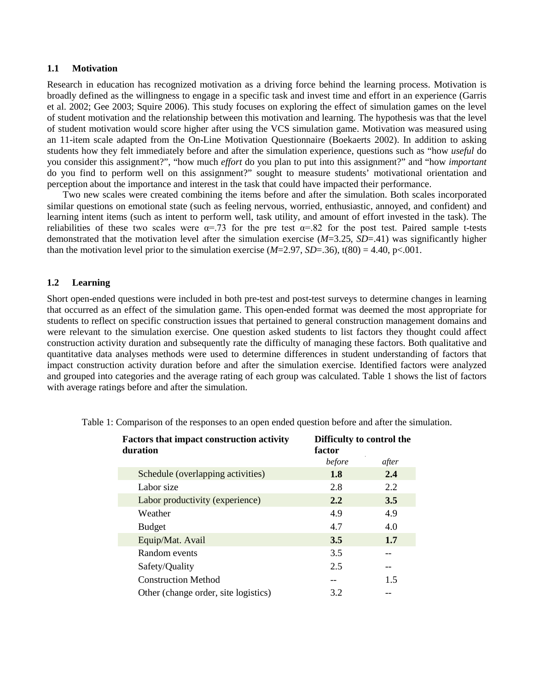#### **1.1 Motivation**

Research in education has recognized motivation as a driving force behind the learning process. Motivation is broadly defined as the willingness to engage in a specific task and invest time and effort in an experience (Garris et al. 2002; Gee 2003; Squire 2006). This study focuses on exploring the effect of simulation games on the level of student motivation and the relationship between this motivation and learning. The hypothesis was that the level of student motivation would score higher after using the VCS simulation game. Motivation was measured using an 11-item scale adapted from the On-Line Motivation Questionnaire (Boekaerts 2002). In addition to asking students how they felt immediately before and after the simulation experience, questions such as "how *useful* do you consider this assignment?", "how much *effort* do you plan to put into this assignment?" and "how *important* do you find to perform well on this assignment?" sought to measure students' motivational orientation and perception about the importance and interest in the task that could have impacted their performance.

Two new scales were created combining the items before and after the simulation. Both scales incorporated similar questions on emotional state (such as feeling nervous, worried, enthusiastic, annoyed, and confident) and learning intent items (such as intent to perform well, task utility, and amount of effort invested in the task). The reliabilities of these two scales were  $\alpha = .73$  for the pre test  $\alpha = .82$  for the post test. Paired sample t-tests demonstrated that the motivation level after the simulation exercise (*M*=3.25, *SD*=.41) was significantly higher than the motivation level prior to the simulation exercise  $(M=2.97, SD=36)$ , t(80) = 4.40, p<.001.

#### **1.2 Learning**

Short open-ended questions were included in both pre-test and post-test surveys to determine changes in learning that occurred as an effect of the simulation game. This open-ended format was deemed the most appropriate for students to reflect on specific construction issues that pertained to general construction management domains and were relevant to the simulation exercise. One question asked students to list factors they thought could affect construction activity duration and subsequently rate the difficulty of managing these factors. Both qualitative and quantitative data analyses methods were used to determine differences in student understanding of factors that impact construction activity duration before and after the simulation exercise. Identified factors were analyzed and grouped into categories and the average rating of each group was calculated. Table 1 shows the list of factors with average ratings before and after the simulation.

| <b>Factors that impact construction activity</b><br>duration | Difficulty to control the<br>factor |       |  |  |
|--------------------------------------------------------------|-------------------------------------|-------|--|--|
|                                                              | before                              | after |  |  |
| Schedule (overlapping activities)                            | 1.8                                 | 2.4   |  |  |
| Labor size                                                   | 2.8                                 | 2.2   |  |  |
| Labor productivity (experience)                              | 2.2                                 | 3.5   |  |  |
| Weather                                                      | 4.9                                 | 4.9   |  |  |
| <b>Budget</b>                                                | 4.7                                 | 4.0   |  |  |
| Equip/Mat. Avail                                             | 3.5                                 | 1.7   |  |  |
| Random events                                                | 3.5                                 |       |  |  |
| Safety/Quality                                               | 2.5                                 |       |  |  |
| <b>Construction Method</b>                                   | --                                  | 1.5   |  |  |
| Other (change order, site logistics)                         | 3.2                                 |       |  |  |

Table 1: Comparison of the responses to an open ended question before and after the simulation.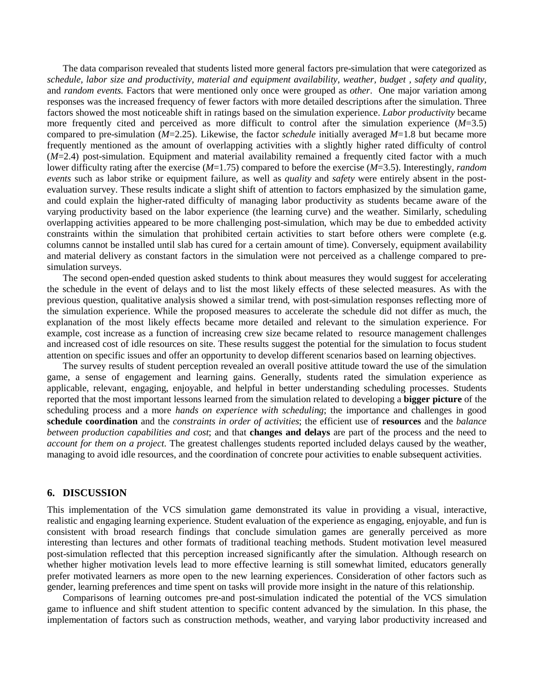The data comparison revealed that students listed more general factors pre-simulation that were categorized as *schedule, labor size and productivity, material and equipment availability, weather, budget , safety and quality,*  and *random events.* Factors that were mentioned only once were grouped as *other*. One major variation among responses was the increased frequency of fewer factors with more detailed descriptions after the simulation. Three factors showed the most noticeable shift in ratings based on the simulation experience. *Labor productivity* became more frequently cited and perceived as more difficult to control after the simulation experience (*M*=3.5) compared to pre-simulation (*M*=2.25). Likewise, the factor *schedule* initially averaged *M*=1.8 but became more frequently mentioned as the amount of overlapping activities with a slightly higher rated difficulty of control (*M*=2.4) post-simulation. Equipment and material availability remained a frequently cited factor with a much lower difficulty rating after the exercise (*M*=1.75) compared to before the exercise (*M*=3.5). Interestingly, *random events* such as labor strike or equipment failure, as well as *quality* and *safety* were entirely absent in the postevaluation survey. These results indicate a slight shift of attention to factors emphasized by the simulation game, and could explain the higher-rated difficulty of managing labor productivity as students became aware of the varying productivity based on the labor experience (the learning curve) and the weather. Similarly, scheduling overlapping activities appeared to be more challenging post-simulation, which may be due to embedded activity constraints within the simulation that prohibited certain activities to start before others were complete (e.g. columns cannot be installed until slab has cured for a certain amount of time). Conversely, equipment availability and material delivery as constant factors in the simulation were not perceived as a challenge compared to presimulation surveys.

The second open-ended question asked students to think about measures they would suggest for accelerating the schedule in the event of delays and to list the most likely effects of these selected measures. As with the previous question, qualitative analysis showed a similar trend, with post-simulation responses reflecting more of the simulation experience. While the proposed measures to accelerate the schedule did not differ as much, the explanation of the most likely effects became more detailed and relevant to the simulation experience. For example, cost increase as a function of increasing crew size became related to resource management challenges and increased cost of idle resources on site. These results suggest the potential for the simulation to focus student attention on specific issues and offer an opportunity to develop different scenarios based on learning objectives.

The survey results of student perception revealed an overall positive attitude toward the use of the simulation game, a sense of engagement and learning gains. Generally, students rated the simulation experience as applicable, relevant, engaging, enjoyable, and helpful in better understanding scheduling processes. Students reported that the most important lessons learned from the simulation related to developing a **bigger picture** of the scheduling process and a more *hands on experience with scheduling*; the importance and challenges in good **schedule coordination** and the *constraints in order of activities*; the efficient use of **resources** and the *balance between production capabilities and cost*; and that **changes and delays** are part of the process and the need to *account for them on a project.* The greatest challenges students reported included delays caused by the weather, managing to avoid idle resources, and the coordination of concrete pour activities to enable subsequent activities.

### **6. DISCUSSION**

This implementation of the VCS simulation game demonstrated its value in providing a visual, interactive, realistic and engaging learning experience. Student evaluation of the experience as engaging, enjoyable, and fun is consistent with broad research findings that conclude simulation games are generally perceived as more interesting than lectures and other formats of traditional teaching methods. Student motivation level measured post-simulation reflected that this perception increased significantly after the simulation. Although research on whether higher motivation levels lead to more effective learning is still somewhat limited, educators generally prefer motivated learners as more open to the new learning experiences. Consideration of other factors such as gender, learning preferences and time spent on tasks will provide more insight in the nature of this relationship.

Comparisons of learning outcomes pre-and post-simulation indicated the potential of the VCS simulation game to influence and shift student attention to specific content advanced by the simulation. In this phase, the implementation of factors such as construction methods, weather, and varying labor productivity increased and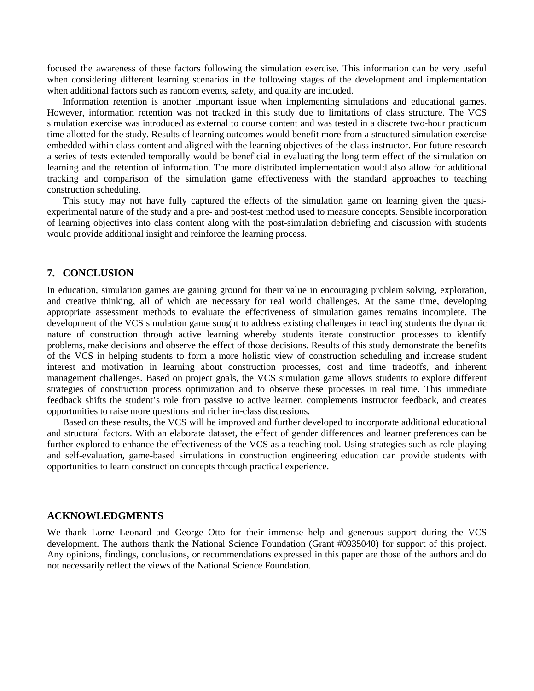focused the awareness of these factors following the simulation exercise. This information can be very useful when considering different learning scenarios in the following stages of the development and implementation when additional factors such as random events, safety, and quality are included.

Information retention is another important issue when implementing simulations and educational games. However, information retention was not tracked in this study due to limitations of class structure. The VCS simulation exercise was introduced as external to course content and was tested in a discrete two-hour practicum time allotted for the study. Results of learning outcomes would benefit more from a structured simulation exercise embedded within class content and aligned with the learning objectives of the class instructor. For future research a series of tests extended temporally would be beneficial in evaluating the long term effect of the simulation on learning and the retention of information. The more distributed implementation would also allow for additional tracking and comparison of the simulation game effectiveness with the standard approaches to teaching construction scheduling.

This study may not have fully captured the effects of the simulation game on learning given the quasiexperimental nature of the study and a pre- and post-test method used to measure concepts. Sensible incorporation of learning objectives into class content along with the post-simulation debriefing and discussion with students would provide additional insight and reinforce the learning process.

# **7. CONCLUSION**

In education, simulation games are gaining ground for their value in encouraging problem solving, exploration, and creative thinking, all of which are necessary for real world challenges. At the same time, developing appropriate assessment methods to evaluate the effectiveness of simulation games remains incomplete. The development of the VCS simulation game sought to address existing challenges in teaching students the dynamic nature of construction through active learning whereby students iterate construction processes to identify problems, make decisions and observe the effect of those decisions. Results of this study demonstrate the benefits of the VCS in helping students to form a more holistic view of construction scheduling and increase student interest and motivation in learning about construction processes, cost and time tradeoffs, and inherent management challenges. Based on project goals, the VCS simulation game allows students to explore different strategies of construction process optimization and to observe these processes in real time. This immediate feedback shifts the student's role from passive to active learner, complements instructor feedback, and creates opportunities to raise more questions and richer in-class discussions.

Based on these results, the VCS will be improved and further developed to incorporate additional educational and structural factors. With an elaborate dataset, the effect of gender differences and learner preferences can be further explored to enhance the effectiveness of the VCS as a teaching tool. Using strategies such as role-playing and self-evaluation, game-based simulations in construction engineering education can provide students with opportunities to learn construction concepts through practical experience.

#### **ACKNOWLEDGMENTS**

We thank Lorne Leonard and George Otto for their immense help and generous support during the VCS development. The authors thank the National Science Foundation (Grant #0935040) for support of this project. Any opinions, findings, conclusions, or recommendations expressed in this paper are those of the authors and do not necessarily reflect the views of the National Science Foundation.